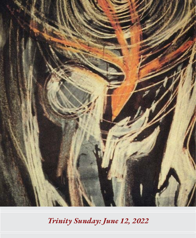

*Trinity Sunday: June 12, 2022*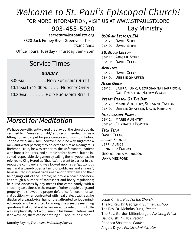# *Welcome to St. Paul's Episcopal Church!*

FOR MORE INFORMATION, VISIT US AT WWW.STPAULSTX.ORG

903-455-5030

 **secretary@stpaulstx.org**

8320 Jack Finney Blvd. Greenville, Texas 75402-3004

Office Hours: Tuesday - Thursday 8am - 2pm

## Service Times

## *SUNDAY*

| 8:00AM HOLY EUCHARIST RITE I    |
|---------------------------------|
| 10:15AM to 12:00PM NURSERY OPEN |
| 10:30AM. HOLY EUCHARIST RITE II |

## *Morsel for Meditation*

We have very efficiently pared the claws of the Lion of Judah, certified him "meek and mild," and recommended him as a fitting household pet for pale curates and pious old ladies. To those who knew him, however, he in no way suggested a milk-and-water person; they objected to him as a dangerous firebrand. True, he was tender to the unfortunate, patient with honest inquirers, and humble before heaven; but he insulted respectable clergymen by calling them hypocrites; he referred to King Herod as "that fox"; he went to parties in disreputable company and was looked upon as a "gluttonous man and a wine-bibber, a friend of publicans and sinners"; he assaulted indignant tradesmen and threw them and their belongings out of the Temple; he drove a coach-and-horses through a number of sacrosanct and hoary regulations; he cured diseases by any means that came handy, with a shocking casualness in the matter of other people's pigs and property; he showed no proper deference for wealth or social position; when confronted with neat dialectical traps, he displayed a paradoxical humor that affronted serious-minded people, and he retorted by asking disagreeably searching questions that could not be answered by rule of thumb. He was emphatically not a dull man in his human lifetime, and if he was God, there can be nothing dull about God either.

Dorothy Sayers, *The Gospel in Dorothy Sayers*

# Lay Ministry

*8:00 am Lector/LEM* 06/12: DAVID STIPE

06/19: DAVID STIPE

## *10:30 am Lector*

06/12: Abigail Stipe 06/19: DAVID CLEGG

### *Acolytes*

06/12: DAVID CLEGG 06/19: Debbie Shaffer

#### *Altar Guild*

06/12: Laura Funk, Georgianna Harrison, Gail Rolston, Nancy Wyant

### *Vestry Person Of The Day*

06/12: Marie Aughtry, Suzanne Taylor

06/19: Debbie Shaffer, David Kirklin

### *Intercessory Prayer*

06/12: MARIE AUGHTRY 06/19: Elizbaeth Porter

## *Tech Team*

David CLEGG JACOB FAUNCE Jeff Faunce Jennifer Faunce Georgianna Harrison DANA MEDEORD

Jesus Christ, *Head of the Church* The Rt. Rev. Dr. George R. Sumner, *Bishop* The Rev. Dr. Nicholas Funk, *Rector* The Rev. Gordon Miltenberger, *Assisting Priest* David Gish, *Music Director* Rebecca Shasteen, *Pianist* Angela Dryer, *Parish Administrator*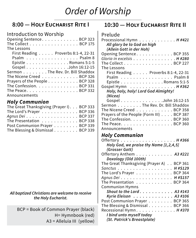# *Order of Worship*

## **8:00 — Holy Eucharist Rite I**

## Introduction to Worship

| Opening Sentence. BCP 323                      |
|------------------------------------------------|
| The Collect BCP 175                            |
| The Lessons                                    |
| First Reading $\ldots$ . Proverbs 8:1-4, 22-31 |
| Psalm Psalm 8                                  |
| Epistle Romans 5:1-5                           |
| Gospel John 16:12-15                           |
| Sermon The Rev. Dr. Bill Shaddox               |
| The Nicene Creed BCP 326                       |
| Prayers of the People BCP 328                  |
| The Confession. BCP 331                        |
| The Peace. $\ldots$ BCP 332                    |
| Announcements                                  |

## *Holy Communion*

| The Great Thanksgiving (Prayer I). BCP 333 |  |
|--------------------------------------------|--|
| The Lord's Prayer BCP 336                  |  |
| Agnus Dei BCP 337                          |  |
| The Presentation BCP 338                   |  |
| Post Communion Prayer BCP 339              |  |
| The Blessing & Dismissal BCP 339           |  |

#### *All baptized Christians are welcome to receive the Holy Eucharist.*

BCP = Book of Common Prayer (black) H= Hymnbook (red) A3 = Alleluia III (yellow)

## **10:30 — Holy Eucharist Rite II**

| Prelude |  |
|---------|--|
|---------|--|

| Processional Hymn $\dots \dots \dots \dots$ . H#421            |
|----------------------------------------------------------------|
| All glory be to God on high                                    |
| (Allein Gott in der Hoh)                                       |
| Opening Sentence. BCP 355                                      |
| Gloria in excelsis H #280                                      |
| The Collect $\ldots \ldots \ldots \ldots \ldots$               |
| The Lessons                                                    |
| First Reading $\ldots$ . Proverbs 8:1-4, 22-31                 |
| Psalm Psalm 8                                                  |
| Epistle Romans 5:1-5                                           |
| Gospel Hymn H #362                                             |
| Holy, holy, holy! Lord God Almighty!                           |
| (Nicea)                                                        |
| Gospel John 16:12-15                                           |
| Sermon The Rev. Dr. Bill Shaddox                               |
| The Nicene Creed BCP 358                                       |
| Prayers of the People (Form III) BCP 387                       |
| The Confession. BCP 360                                        |
| The Peace. $\ldots$ . $\ldots$ . $\ldots$ . $\ldots$ . BCP 360 |
| Announcements                                                  |
| <b>Holy Communion</b>                                          |
|                                                                |

| Offertory H #366                                 |
|--------------------------------------------------|
| Holy God, we praise thy Name [1,2,4,5]           |
| (Grosser Gott)                                   |
| Offertory Anthem A3 #221                         |
| Doxology (Old 100th)                             |
| The Great Thanksgiving (Prayer A) BCP 361        |
| Sanctus H #S129                                  |
| The Lord's Prayer BCP 364                        |
| Agnus Dei H #S157                                |
| The Presentation BCP 364                         |
| <b>Communion Hymns</b>                           |
| Shout to the Lord. $\ldots$ . $\ldots$ . 43 #143 |
| Kyrie Eleison A3 #106                            |
| Post Communion Prayer BCP 365                    |
| The Blessing & Dismissal BCP 366                 |
| Recessional Hymn. H #370                         |
| I bind unto myself today                         |
| (St. Patrick's Breastplate)                      |